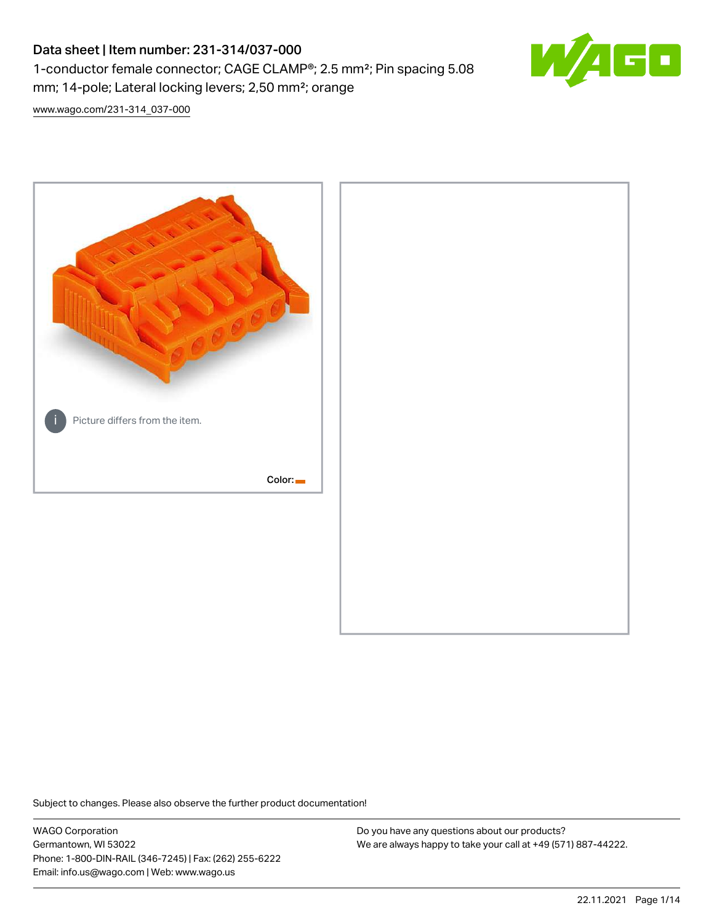# Data sheet | Item number: 231-314/037-000 1-conductor female connector; CAGE CLAMP®; 2.5 mm²; Pin spacing 5.08 mm; 14-pole; Lateral locking levers; 2,50 mm²; orange



[www.wago.com/231-314\\_037-000](http://www.wago.com/231-314_037-000)



Subject to changes. Please also observe the further product documentation!

WAGO Corporation Germantown, WI 53022 Phone: 1-800-DIN-RAIL (346-7245) | Fax: (262) 255-6222 Email: info.us@wago.com | Web: www.wago.us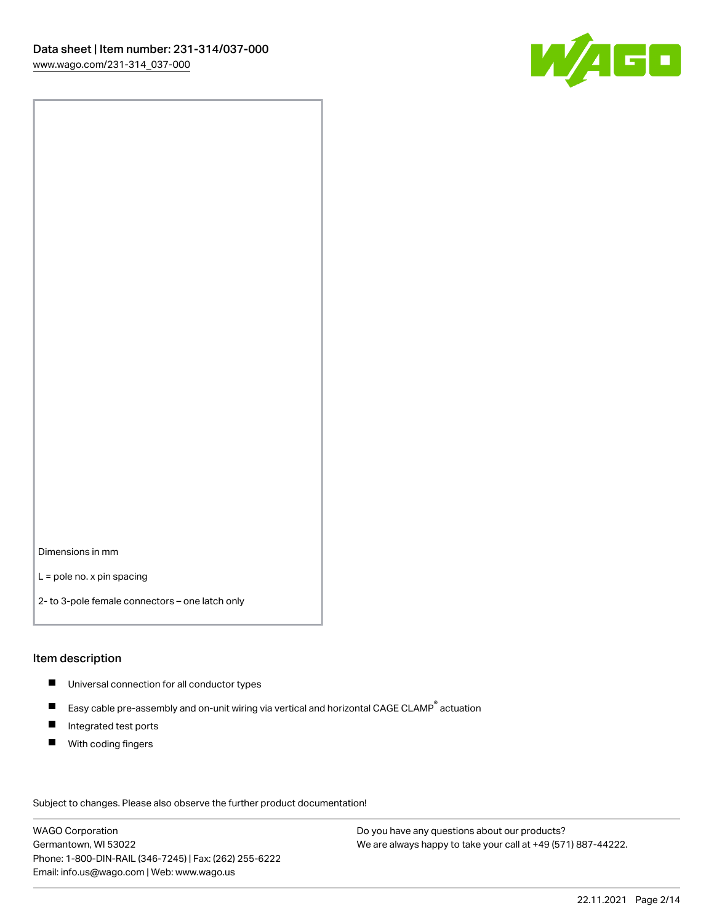

Dimensions in mm

L = pole no. x pin spacing

2- to 3-pole female connectors – one latch only

#### Item description

- **Universal connection for all conductor types**
- Easy cable pre-assembly and on-unit wiring via vertical and horizontal CAGE CLAMP<sup>®</sup> actuation  $\blacksquare$
- $\blacksquare$ Integrated test ports
- $\blacksquare$ With coding fingers

Subject to changes. Please also observe the further product documentation! Data

WAGO Corporation Germantown, WI 53022 Phone: 1-800-DIN-RAIL (346-7245) | Fax: (262) 255-6222 Email: info.us@wago.com | Web: www.wago.us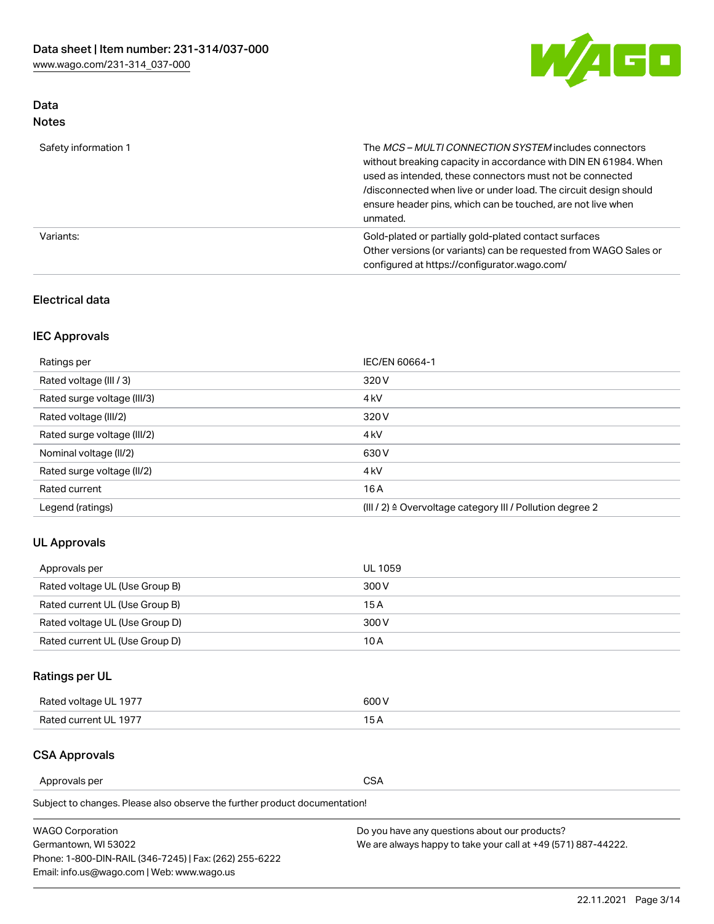

# Data Notes

| Safety information 1 | The <i>MCS – MULTI CONNECTION SYSTEM</i> includes connectors<br>without breaking capacity in accordance with DIN EN 61984. When<br>used as intended, these connectors must not be connected<br>/disconnected when live or under load. The circuit design should<br>ensure header pins, which can be touched, are not live when<br>unmated. |
|----------------------|--------------------------------------------------------------------------------------------------------------------------------------------------------------------------------------------------------------------------------------------------------------------------------------------------------------------------------------------|
| Variants:            | Gold-plated or partially gold-plated contact surfaces<br>Other versions (or variants) can be requested from WAGO Sales or<br>configured at https://configurator.wago.com/                                                                                                                                                                  |

### Electrical data

# IEC Approvals

| Ratings per                 | IEC/EN 60664-1                                                        |
|-----------------------------|-----------------------------------------------------------------------|
| Rated voltage (III / 3)     | 320 V                                                                 |
| Rated surge voltage (III/3) | 4 <sub>k</sub> V                                                      |
| Rated voltage (III/2)       | 320 V                                                                 |
| Rated surge voltage (III/2) | 4 <sub>k</sub> V                                                      |
| Nominal voltage (II/2)      | 630 V                                                                 |
| Rated surge voltage (II/2)  | 4 <sub>k</sub> V                                                      |
| Rated current               | 16A                                                                   |
| Legend (ratings)            | $(III / 2)$ $\triangle$ Overvoltage category III / Pollution degree 2 |

### UL Approvals

| Approvals per                  | UL 1059 |
|--------------------------------|---------|
| Rated voltage UL (Use Group B) | 300 V   |
| Rated current UL (Use Group B) | 15 A    |
| Rated voltage UL (Use Group D) | 300 V   |
| Rated current UL (Use Group D) | 10 A    |

# Ratings per UL

| Rated voltage UL 1977 | 600 V         |
|-----------------------|---------------|
| Rated current UL 1977 | $\sim$ $\sim$ |

### CSA Approvals

Approvals per CSA

Subject to changes. Please also observe the further product documentation!

| <b>WAGO Corporation</b>                                | Do you have any questions about our products?                 |
|--------------------------------------------------------|---------------------------------------------------------------|
| Germantown, WI 53022                                   | We are always happy to take your call at +49 (571) 887-44222. |
| Phone: 1-800-DIN-RAIL (346-7245)   Fax: (262) 255-6222 |                                                               |
| Email: info.us@wago.com   Web: www.wago.us             |                                                               |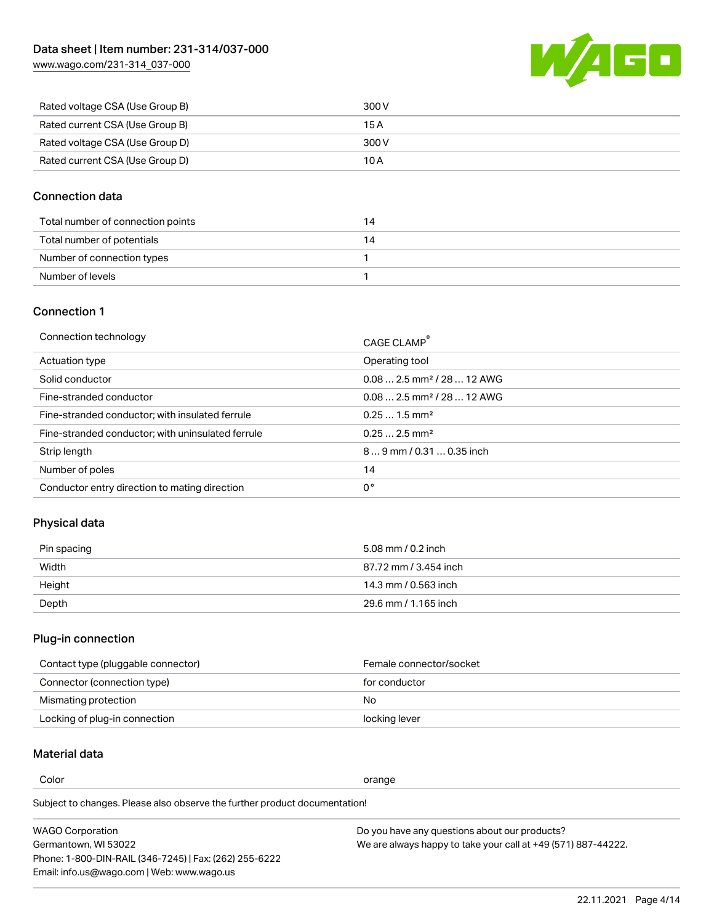[www.wago.com/231-314\\_037-000](http://www.wago.com/231-314_037-000)



| Rated voltage CSA (Use Group B) | 300 V |
|---------------------------------|-------|
| Rated current CSA (Use Group B) | 15 A  |
| Rated voltage CSA (Use Group D) | 300 V |
| Rated current CSA (Use Group D) | 10 A  |

### Connection data

| Total number of connection points |  |
|-----------------------------------|--|
| Total number of potentials        |  |
| Number of connection types        |  |
| Number of levels                  |  |

### Connection 1

| Connection technology                             | CAGE CLAMP®                             |
|---------------------------------------------------|-----------------------------------------|
| Actuation type                                    | Operating tool                          |
| Solid conductor                                   | $0.08$ 2.5 mm <sup>2</sup> / 28  12 AWG |
| Fine-stranded conductor                           | $0.082.5$ mm <sup>2</sup> / 28  12 AWG  |
| Fine-stranded conductor; with insulated ferrule   | $0.251.5$ mm <sup>2</sup>               |
| Fine-stranded conductor; with uninsulated ferrule | $0.252.5$ mm <sup>2</sup>               |
| Strip length                                      | $89$ mm / 0.31  0.35 inch               |
| Number of poles                                   | 14                                      |
| Conductor entry direction to mating direction     | 0°                                      |
|                                                   |                                         |

# Physical data

| Pin spacing | 5.08 mm / 0.2 inch    |
|-------------|-----------------------|
| Width       | 87.72 mm / 3.454 inch |
| Height      | 14.3 mm / 0.563 inch  |
| Depth       | 29.6 mm / 1.165 inch  |

### Plug-in connection

| Contact type (pluggable connector) | Female connector/socket |
|------------------------------------|-------------------------|
| Connector (connection type)        | for conductor           |
| Mismating protection               | No                      |
| Locking of plug-in connection      | locking lever           |

# Material data

Color contracts and contracts of the contracts of the contracts of the contracts of the contracts of the contracts of the contracts of the contracts of the contracts of the contracts of the contracts of the contracts of th

Subject to changes. Please also observe the further product documentation! Material group I

| <b>WAGO Corporation</b>                                | Do you have any questions about our products?                 |
|--------------------------------------------------------|---------------------------------------------------------------|
| Germantown, WI 53022                                   | We are always happy to take your call at +49 (571) 887-44222. |
| Phone: 1-800-DIN-RAIL (346-7245)   Fax: (262) 255-6222 |                                                               |
| Email: info.us@wago.com   Web: www.wago.us             |                                                               |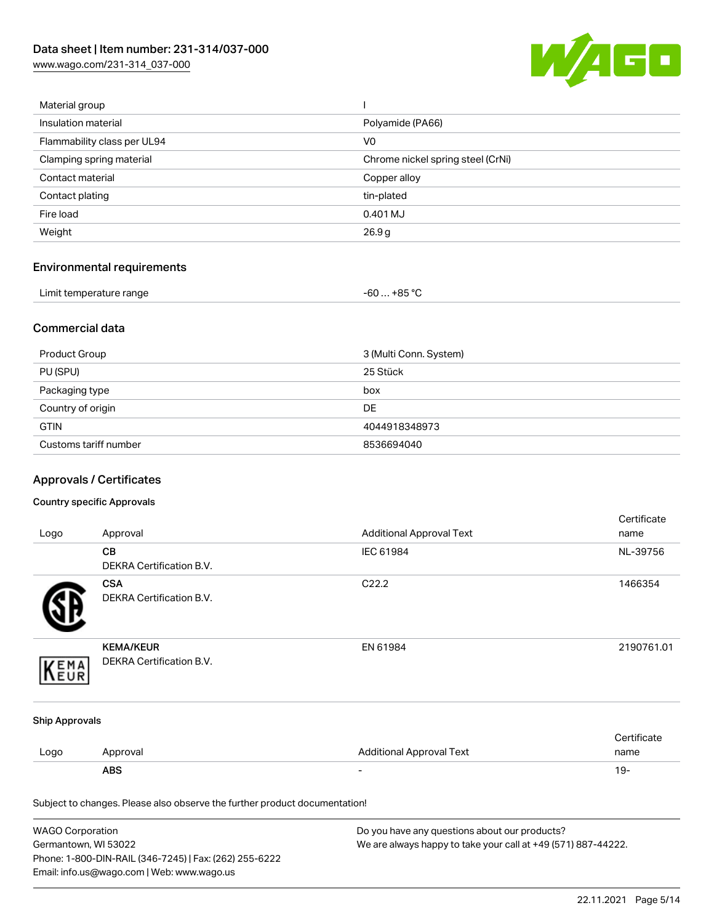[www.wago.com/231-314\\_037-000](http://www.wago.com/231-314_037-000)



| Material group              |                                   |
|-----------------------------|-----------------------------------|
| Insulation material         | Polyamide (PA66)                  |
| Flammability class per UL94 | V <sub>0</sub>                    |
| Clamping spring material    | Chrome nickel spring steel (CrNi) |
| Contact material            | Copper alloy                      |
| Contact plating             | tin-plated                        |
| Fire load                   | 0.401 MJ                          |
| Weight                      | 26.9g                             |
|                             |                                   |

# Environmental requirements

| Limit temperature range | $-60+85 °C$ |
|-------------------------|-------------|
|-------------------------|-------------|

### Commercial data

| Product Group         | 3 (Multi Conn. System) |
|-----------------------|------------------------|
| PU (SPU)              | 25 Stück               |
| Packaging type        | box                    |
| Country of origin     | <b>DE</b>              |
| <b>GTIN</b>           | 4044918348973          |
| Customs tariff number | 8536694040             |

# Approvals / Certificates

#### Country specific Approvals

| Logo                                                                       | Approval                                      | <b>Additional Approval Text</b> | Certificate<br>name |
|----------------------------------------------------------------------------|-----------------------------------------------|---------------------------------|---------------------|
|                                                                            | CВ<br>DEKRA Certification B.V.                | IEC 61984                       | NL-39756            |
|                                                                            | <b>CSA</b><br><b>DEKRA Certification B.V.</b> | C <sub>22.2</sub>               | 1466354             |
| EMA                                                                        | <b>KEMA/KEUR</b><br>DEKRA Certification B.V.  | EN 61984                        | 2190761.01          |
| <b>Ship Approvals</b>                                                      |                                               |                                 |                     |
| Logo                                                                       | Approval                                      | <b>Additional Approval Text</b> | Certificate<br>name |
|                                                                            | <b>ABS</b>                                    |                                 | $19 -$              |
| Subject to changes. Please also observe the further product documentation! |                                               |                                 |                     |

| <b>WAGO Corporation</b>                                | Do you have any questions about our products?                 |
|--------------------------------------------------------|---------------------------------------------------------------|
| Germantown, WI 53022                                   | We are always happy to take your call at +49 (571) 887-44222. |
| Phone: 1-800-DIN-RAIL (346-7245)   Fax: (262) 255-6222 |                                                               |
| Email: info.us@wago.com   Web: www.wago.us             |                                                               |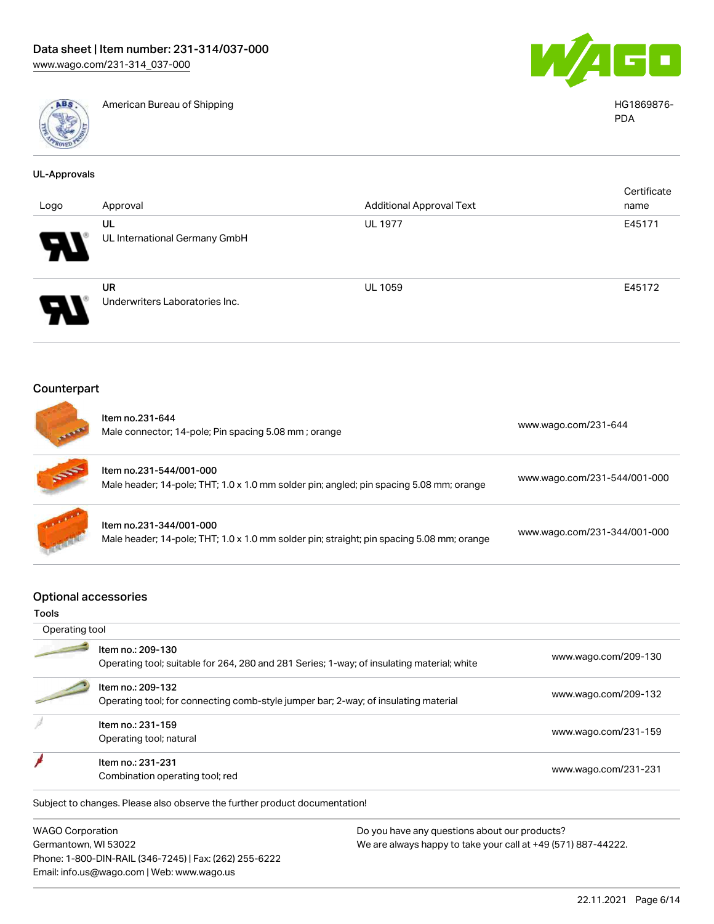

American Bureau of Shipping HG1869876-



PDA

| <b>UL-Approvals</b>                         |                                                                                                                      |                                 |                              |
|---------------------------------------------|----------------------------------------------------------------------------------------------------------------------|---------------------------------|------------------------------|
| Logo                                        | Approval                                                                                                             | <b>Additional Approval Text</b> | Certificate<br>name          |
|                                             | UL                                                                                                                   | <b>UL 1977</b>                  | E45171                       |
|                                             | UL International Germany GmbH                                                                                        |                                 |                              |
|                                             | <b>UR</b><br>Underwriters Laboratories Inc.                                                                          | <b>UL 1059</b>                  | E45172                       |
| Counterpart                                 |                                                                                                                      |                                 |                              |
|                                             |                                                                                                                      |                                 |                              |
|                                             | Item no.231-644<br>Male connector; 14-pole; Pin spacing 5.08 mm; orange                                              |                                 | www.wago.com/231-644         |
|                                             | Item no.231-544/001-000<br>Male header; 14-pole; THT; 1.0 x 1.0 mm solder pin; angled; pin spacing 5.08 mm; orange   |                                 | www.wago.com/231-544/001-000 |
|                                             | Item no.231-344/001-000<br>Male header; 14-pole; THT; 1.0 x 1.0 mm solder pin; straight; pin spacing 5.08 mm; orange |                                 | www.wago.com/231-344/001-000 |
| <b>Optional accessories</b><br><b>Tools</b> |                                                                                                                      |                                 |                              |
| Operating tool                              |                                                                                                                      |                                 |                              |
|                                             | Item no.: 209-130<br>Operating tool; suitable for 264, 280 and 281 Series; 1-way; of insulating material; white      |                                 | www.wago.com/209-130         |
|                                             | Item no.: 209-132<br>Operating tool; for connecting comb-style jumper bar; 2-way; of insulating material             |                                 | www.wago.com/209-132         |
|                                             | Item no.: 231-159<br>Operating tool; natural                                                                         |                                 | www.wago.com/231-159         |
|                                             | Item no.: 231-231<br>Combination operating tool; red                                                                 |                                 | www.wago.com/231-231         |
|                                             | Subject to changes. Please also observe the further product documentation!                                           |                                 |                              |

WAGO Corporation Germantown, WI 53022 Phone: 1-800-DIN-RAIL (346-7245) | Fax: (262) 255-6222 Email: info.us@wago.com | Web: www.wago.us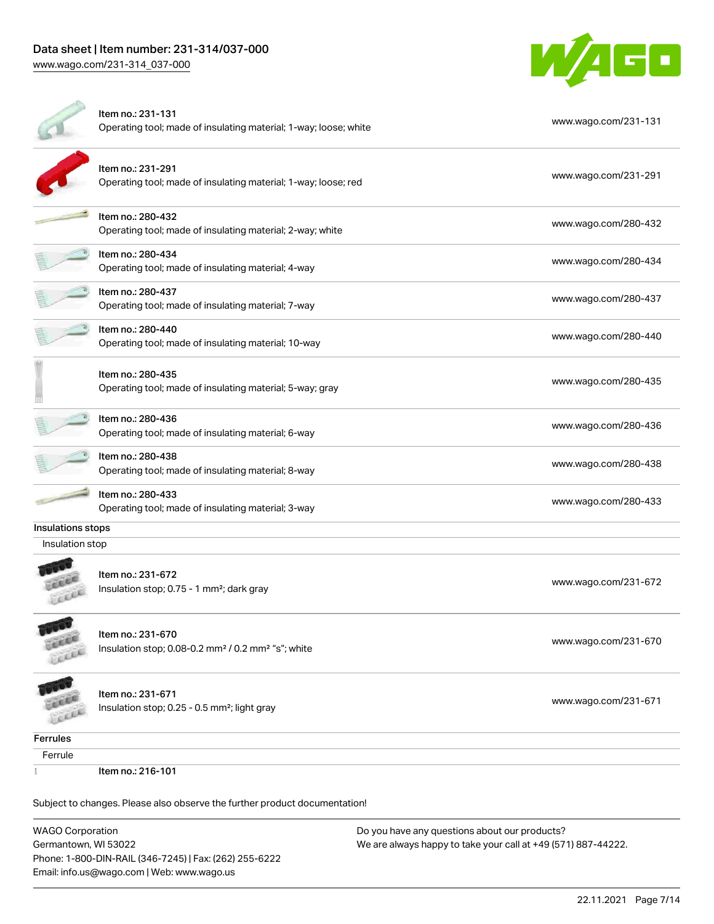Phone: 1-800-DIN-RAIL (346-7245) | Fax: (262) 255-6222

Email: info.us@wago.com | Web: www.wago.us

[www.wago.com/231-314\\_037-000](http://www.wago.com/231-314_037-000)



|                                                                            | Item no.: 231-131<br>Operating tool; made of insulating material; 1-way; loose; white           | www.wago.com/231-131                                                                                           |  |
|----------------------------------------------------------------------------|-------------------------------------------------------------------------------------------------|----------------------------------------------------------------------------------------------------------------|--|
|                                                                            | Item no.: 231-291<br>Operating tool; made of insulating material; 1-way; loose; red             | www.wago.com/231-291                                                                                           |  |
|                                                                            | Item no.: 280-432<br>Operating tool; made of insulating material; 2-way; white                  | www.wago.com/280-432                                                                                           |  |
|                                                                            | Item no.: 280-434<br>Operating tool; made of insulating material; 4-way                         | www.wago.com/280-434                                                                                           |  |
|                                                                            | Item no.: 280-437<br>Operating tool; made of insulating material; 7-way                         | www.wago.com/280-437                                                                                           |  |
|                                                                            | Item no.: 280-440<br>Operating tool; made of insulating material; 10-way                        | www.wago.com/280-440                                                                                           |  |
|                                                                            | Item no.: 280-435<br>Operating tool; made of insulating material; 5-way; gray                   | www.wago.com/280-435                                                                                           |  |
|                                                                            | Item no.: 280-436<br>Operating tool; made of insulating material; 6-way                         | www.wago.com/280-436                                                                                           |  |
|                                                                            | Item no.: 280-438<br>Operating tool; made of insulating material; 8-way                         | www.wago.com/280-438                                                                                           |  |
|                                                                            | Item no.: 280-433<br>Operating tool; made of insulating material; 3-way                         | www.wago.com/280-433                                                                                           |  |
| Insulations stops                                                          |                                                                                                 |                                                                                                                |  |
| Insulation stop                                                            |                                                                                                 |                                                                                                                |  |
|                                                                            | Item no.: 231-672<br>Insulation stop; 0.75 - 1 mm <sup>2</sup> ; dark gray                      | www.wago.com/231-672                                                                                           |  |
|                                                                            | Item no.: 231-670<br>Insulation stop; 0.08-0.2 mm <sup>2</sup> / 0.2 mm <sup>2</sup> "s"; white | www.wago.com/231-670                                                                                           |  |
|                                                                            | Item no.: 231-671<br>Insulation stop; 0.25 - 0.5 mm <sup>2</sup> ; light gray                   | www.wago.com/231-671                                                                                           |  |
| Ferrules                                                                   |                                                                                                 |                                                                                                                |  |
| Ferrule                                                                    |                                                                                                 |                                                                                                                |  |
|                                                                            | Item no.: 216-101                                                                               |                                                                                                                |  |
| Subject to changes. Please also observe the further product documentation! |                                                                                                 |                                                                                                                |  |
| <b>WAGO Corporation</b><br>Germantown, WI 53022                            |                                                                                                 | Do you have any questions about our products?<br>We are always happy to take your call at +49 (571) 887-44222. |  |
|                                                                            |                                                                                                 |                                                                                                                |  |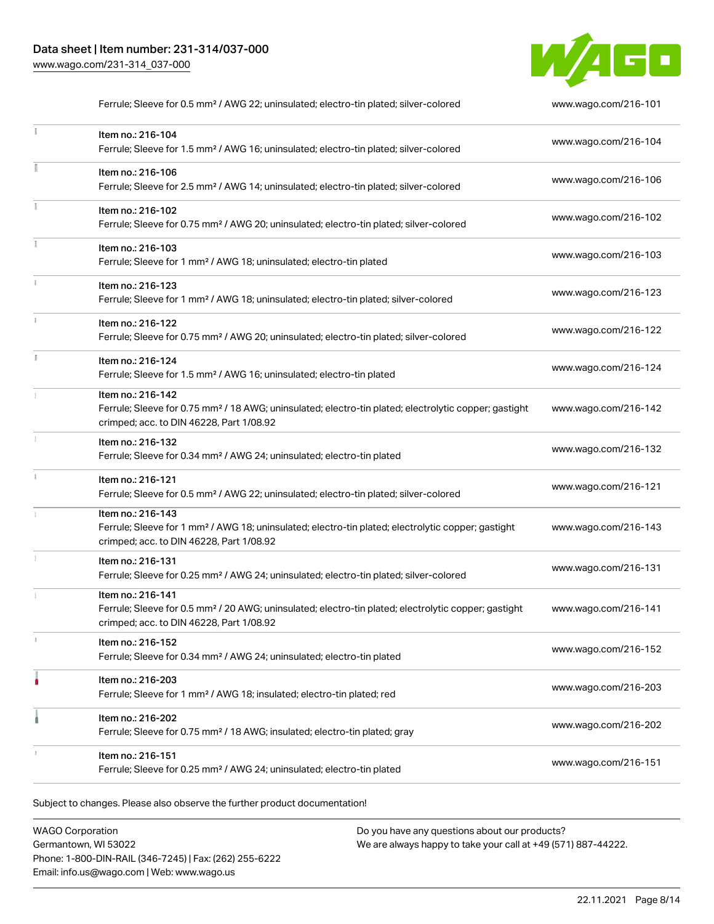

|               | Ferrule; Sleeve for 0.5 mm <sup>2</sup> / AWG 22; uninsulated; electro-tin plated; silver-colored                                                                                  | www.wago.com/216-101 |
|---------------|------------------------------------------------------------------------------------------------------------------------------------------------------------------------------------|----------------------|
|               | Item no.: 216-104<br>Ferrule; Sleeve for 1.5 mm <sup>2</sup> / AWG 16; uninsulated; electro-tin plated; silver-colored                                                             | www.wago.com/216-104 |
|               | Item no.: 216-106<br>Ferrule; Sleeve for 2.5 mm <sup>2</sup> / AWG 14; uninsulated; electro-tin plated; silver-colored                                                             | www.wago.com/216-106 |
|               | Item no.: 216-102<br>Ferrule; Sleeve for 0.75 mm <sup>2</sup> / AWG 20; uninsulated; electro-tin plated; silver-colored                                                            | www.wago.com/216-102 |
| Ĭ.            | Item no.: 216-103<br>Ferrule; Sleeve for 1 mm <sup>2</sup> / AWG 18; uninsulated; electro-tin plated                                                                               | www.wago.com/216-103 |
| $\frac{3}{2}$ | Item no.: 216-123<br>Ferrule; Sleeve for 1 mm <sup>2</sup> / AWG 18; uninsulated; electro-tin plated; silver-colored                                                               | www.wago.com/216-123 |
|               | Item no.: 216-122<br>Ferrule; Sleeve for 0.75 mm <sup>2</sup> / AWG 20; uninsulated; electro-tin plated; silver-colored                                                            | www.wago.com/216-122 |
| I.            | Item no.: 216-124<br>Ferrule; Sleeve for 1.5 mm <sup>2</sup> / AWG 16; uninsulated; electro-tin plated                                                                             | www.wago.com/216-124 |
|               | Item no.: 216-142<br>Ferrule; Sleeve for 0.75 mm <sup>2</sup> / 18 AWG; uninsulated; electro-tin plated; electrolytic copper; gastight<br>crimped; acc. to DIN 46228, Part 1/08.92 | www.wago.com/216-142 |
|               | Item no.: 216-132<br>Ferrule; Sleeve for 0.34 mm <sup>2</sup> / AWG 24; uninsulated; electro-tin plated                                                                            | www.wago.com/216-132 |
|               | Item no.: 216-121<br>Ferrule; Sleeve for 0.5 mm <sup>2</sup> / AWG 22; uninsulated; electro-tin plated; silver-colored                                                             | www.wago.com/216-121 |
|               | Item no.: 216-143<br>Ferrule; Sleeve for 1 mm <sup>2</sup> / AWG 18; uninsulated; electro-tin plated; electrolytic copper; gastight<br>crimped; acc. to DIN 46228, Part 1/08.92    | www.wago.com/216-143 |
|               | Item no.: 216-131<br>Ferrule; Sleeve for 0.25 mm <sup>2</sup> / AWG 24; uninsulated; electro-tin plated; silver-colored                                                            | www.wago.com/216-131 |
|               | Item no.: 216-141<br>Ferrule; Sleeve for 0.5 mm <sup>2</sup> / 20 AWG; uninsulated; electro-tin plated; electrolytic copper; gastight<br>crimped; acc. to DIN 46228, Part 1/08.92  | www.wago.com/216-141 |
| x             | Item no.: 216-152<br>Ferrule; Sleeve for 0.34 mm <sup>2</sup> / AWG 24; uninsulated; electro-tin plated                                                                            | www.wago.com/216-152 |
|               | Item no.: 216-203<br>Ferrule; Sleeve for 1 mm <sup>2</sup> / AWG 18; insulated; electro-tin plated; red                                                                            | www.wago.com/216-203 |
|               | Item no.: 216-202<br>Ferrule; Sleeve for 0.75 mm <sup>2</sup> / 18 AWG; insulated; electro-tin plated; gray                                                                        | www.wago.com/216-202 |
|               | Item no.: 216-151<br>Ferrule; Sleeve for 0.25 mm <sup>2</sup> / AWG 24; uninsulated; electro-tin plated                                                                            | www.wago.com/216-151 |
|               |                                                                                                                                                                                    |                      |

Subject to changes. Please also observe the further product documentation!

WAGO Corporation Germantown, WI 53022 Phone: 1-800-DIN-RAIL (346-7245) | Fax: (262) 255-6222 Email: info.us@wago.com | Web: www.wago.us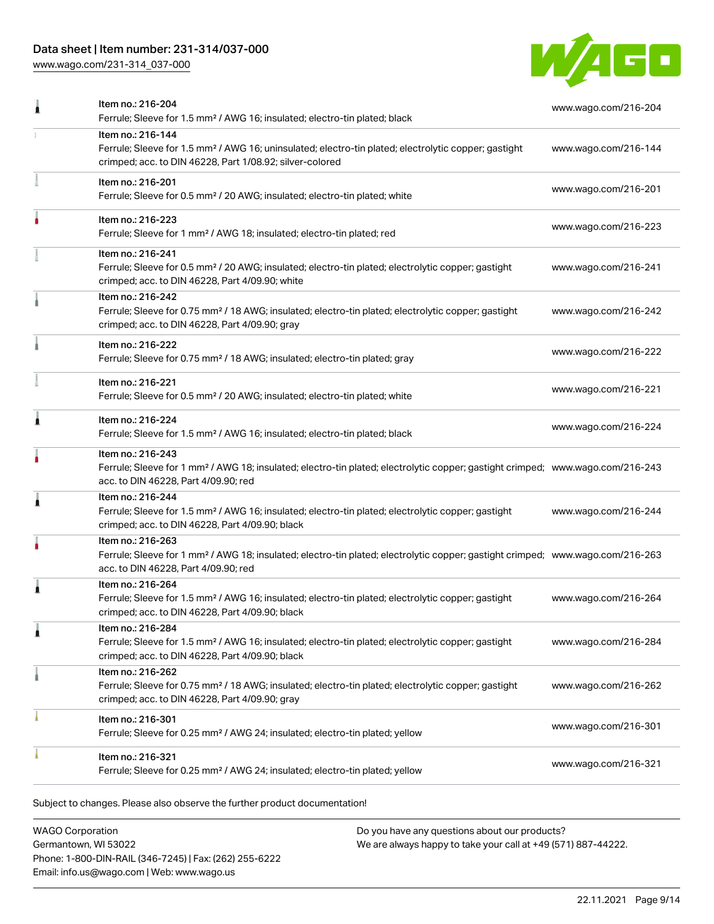# Data sheet | Item number: 231-314/037-000

[www.wago.com/231-314\\_037-000](http://www.wago.com/231-314_037-000)



| Item no.: 216-204<br>Ferrule; Sleeve for 1.5 mm <sup>2</sup> / AWG 16; insulated; electro-tin plated; black                                                                                             | www.wago.com/216-204 |
|---------------------------------------------------------------------------------------------------------------------------------------------------------------------------------------------------------|----------------------|
| Item no.: 216-144<br>Ferrule; Sleeve for 1.5 mm <sup>2</sup> / AWG 16; uninsulated; electro-tin plated; electrolytic copper; gastight<br>crimped; acc. to DIN 46228, Part 1/08.92; silver-colored       | www.wago.com/216-144 |
| Item no.: 216-201<br>Ferrule; Sleeve for 0.5 mm <sup>2</sup> / 20 AWG; insulated; electro-tin plated; white                                                                                             | www.wago.com/216-201 |
| Item no.: 216-223<br>Ferrule; Sleeve for 1 mm <sup>2</sup> / AWG 18; insulated; electro-tin plated; red                                                                                                 | www.wago.com/216-223 |
| Item no.: 216-241<br>Ferrule; Sleeve for 0.5 mm <sup>2</sup> / 20 AWG; insulated; electro-tin plated; electrolytic copper; gastight<br>crimped; acc. to DIN 46228, Part 4/09.90; white                  | www.wago.com/216-241 |
| Item no.: 216-242<br>Ferrule; Sleeve for 0.75 mm <sup>2</sup> / 18 AWG; insulated; electro-tin plated; electrolytic copper; gastight<br>crimped; acc. to DIN 46228, Part 4/09.90; gray                  | www.wago.com/216-242 |
| Item no.: 216-222<br>Ferrule; Sleeve for 0.75 mm <sup>2</sup> / 18 AWG; insulated; electro-tin plated; gray                                                                                             | www.wago.com/216-222 |
| Item no.: 216-221<br>Ferrule; Sleeve for 0.5 mm <sup>2</sup> / 20 AWG; insulated; electro-tin plated; white                                                                                             | www.wago.com/216-221 |
| Item no.: 216-224<br>Ferrule; Sleeve for 1.5 mm <sup>2</sup> / AWG 16; insulated; electro-tin plated; black                                                                                             | www.wago.com/216-224 |
| Item no.: 216-243<br>Ferrule; Sleeve for 1 mm <sup>2</sup> / AWG 18; insulated; electro-tin plated; electrolytic copper; gastight crimped; www.wago.com/216-243<br>acc. to DIN 46228, Part 4/09.90; red |                      |
| Item no.: 216-244<br>Ferrule; Sleeve for 1.5 mm <sup>2</sup> / AWG 16; insulated; electro-tin plated; electrolytic copper; gastight<br>crimped; acc. to DIN 46228, Part 4/09.90; black                  | www.wago.com/216-244 |
| Item no.: 216-263<br>Ferrule; Sleeve for 1 mm <sup>2</sup> / AWG 18; insulated; electro-tin plated; electrolytic copper; gastight crimped; www.wago.com/216-263<br>acc. to DIN 46228, Part 4/09.90; red |                      |
| Item no.: 216-264<br>Ferrule; Sleeve for 1.5 mm <sup>2</sup> / AWG 16; insulated; electro-tin plated; electrolytic copper; gastight<br>crimped; acc. to DIN 46228, Part 4/09.90; black                  | www.wago.com/216-264 |
| Item no.: 216-284<br>Ferrule; Sleeve for 1.5 mm <sup>2</sup> / AWG 16; insulated; electro-tin plated; electrolytic copper; gastight<br>crimped; acc. to DIN 46228, Part 4/09.90; black                  | www.wago.com/216-284 |
| Item no.: 216-262<br>Ferrule; Sleeve for 0.75 mm <sup>2</sup> / 18 AWG; insulated; electro-tin plated; electrolytic copper; gastight<br>crimped; acc. to DIN 46228, Part 4/09.90; gray                  | www.wago.com/216-262 |
| Item no.: 216-301<br>Ferrule; Sleeve for 0.25 mm <sup>2</sup> / AWG 24; insulated; electro-tin plated; yellow                                                                                           | www.wago.com/216-301 |
| Item no.: 216-321<br>Ferrule; Sleeve for 0.25 mm <sup>2</sup> / AWG 24; insulated; electro-tin plated; yellow                                                                                           | www.wago.com/216-321 |
|                                                                                                                                                                                                         |                      |

Subject to changes. Please also observe the further product documentation!

WAGO Corporation Germantown, WI 53022 Phone: 1-800-DIN-RAIL (346-7245) | Fax: (262) 255-6222 Email: info.us@wago.com | Web: www.wago.us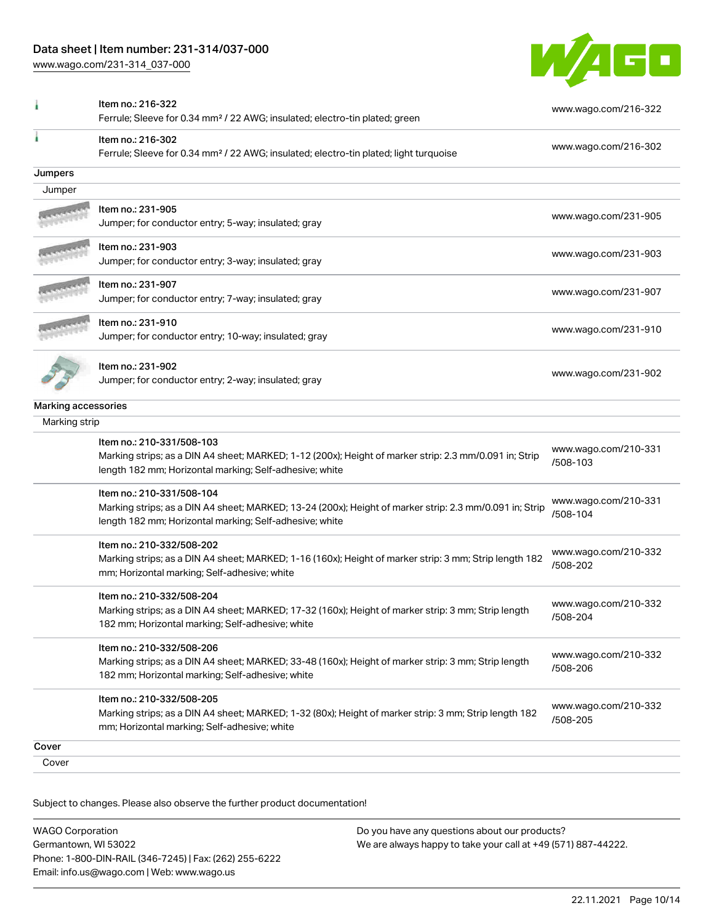# Data sheet | Item number: 231-314/037-000

[www.wago.com/231-314\\_037-000](http://www.wago.com/231-314_037-000)



|                     | Item no.: 216-322<br>Ferrule; Sleeve for 0.34 mm <sup>2</sup> / 22 AWG; insulated; electro-tin plated; green                                                                                    | www.wago.com/216-322             |
|---------------------|-------------------------------------------------------------------------------------------------------------------------------------------------------------------------------------------------|----------------------------------|
|                     | Item no.: 216-302<br>Ferrule; Sleeve for 0.34 mm <sup>2</sup> / 22 AWG; insulated; electro-tin plated; light turquoise                                                                          | www.wago.com/216-302             |
| Jumpers             |                                                                                                                                                                                                 |                                  |
| Jumper              |                                                                                                                                                                                                 |                                  |
|                     | Item no.: 231-905<br>Jumper; for conductor entry; 5-way; insulated; gray                                                                                                                        | www.wago.com/231-905             |
|                     | ltem no.: 231-903<br>Jumper; for conductor entry; 3-way; insulated; gray                                                                                                                        | www.wago.com/231-903             |
|                     | Item no.: 231-907<br>Jumper; for conductor entry; 7-way; insulated; gray                                                                                                                        | www.wago.com/231-907             |
|                     | Item no.: 231-910<br>Jumper; for conductor entry; 10-way; insulated; gray                                                                                                                       | www.wago.com/231-910             |
|                     | Item no.: 231-902<br>Jumper; for conductor entry; 2-way; insulated; gray                                                                                                                        | www.wago.com/231-902             |
| Marking accessories |                                                                                                                                                                                                 |                                  |
| Marking strip       |                                                                                                                                                                                                 |                                  |
|                     | Item no.: 210-331/508-103<br>Marking strips; as a DIN A4 sheet; MARKED; 1-12 (200x); Height of marker strip: 2.3 mm/0.091 in; Strip<br>length 182 mm; Horizontal marking; Self-adhesive; white  | www.wago.com/210-331<br>/508-103 |
|                     | Item no.: 210-331/508-104<br>Marking strips; as a DIN A4 sheet; MARKED; 13-24 (200x); Height of marker strip: 2.3 mm/0.091 in; Strip<br>length 182 mm; Horizontal marking; Self-adhesive; white | www.wago.com/210-331<br>/508-104 |
|                     | Item no.: 210-332/508-202<br>Marking strips; as a DIN A4 sheet; MARKED; 1-16 (160x); Height of marker strip: 3 mm; Strip length 182<br>mm; Horizontal marking; Self-adhesive; white             | www.wago.com/210-332<br>/508-202 |
|                     | Item no.: 210-332/508-204<br>Marking strips; as a DIN A4 sheet; MARKED; 17-32 (160x); Height of marker strip: 3 mm; Strip length<br>182 mm; Horizontal marking; Self-adhesive; white            | www.wago.com/210-332<br>/508-204 |
|                     | Item no.: 210-332/508-206<br>Marking strips; as a DIN A4 sheet; MARKED; 33-48 (160x); Height of marker strip: 3 mm; Strip length<br>182 mm; Horizontal marking; Self-adhesive; white            | www.wago.com/210-332<br>/508-206 |
|                     | Item no.: 210-332/508-205<br>Marking strips; as a DIN A4 sheet; MARKED; 1-32 (80x); Height of marker strip: 3 mm; Strip length 182<br>mm; Horizontal marking; Self-adhesive; white              | www.wago.com/210-332<br>/508-205 |
| Cover               |                                                                                                                                                                                                 |                                  |
| Cover               |                                                                                                                                                                                                 |                                  |

Subject to changes. Please also observe the further product documentation!

| <b>WAGO Corporation</b>                                |  |
|--------------------------------------------------------|--|
| Germantown, WI 53022                                   |  |
| Phone: 1-800-DIN-RAIL (346-7245)   Fax: (262) 255-6222 |  |
| Email: info.us@wago.com   Web: www.wago.us             |  |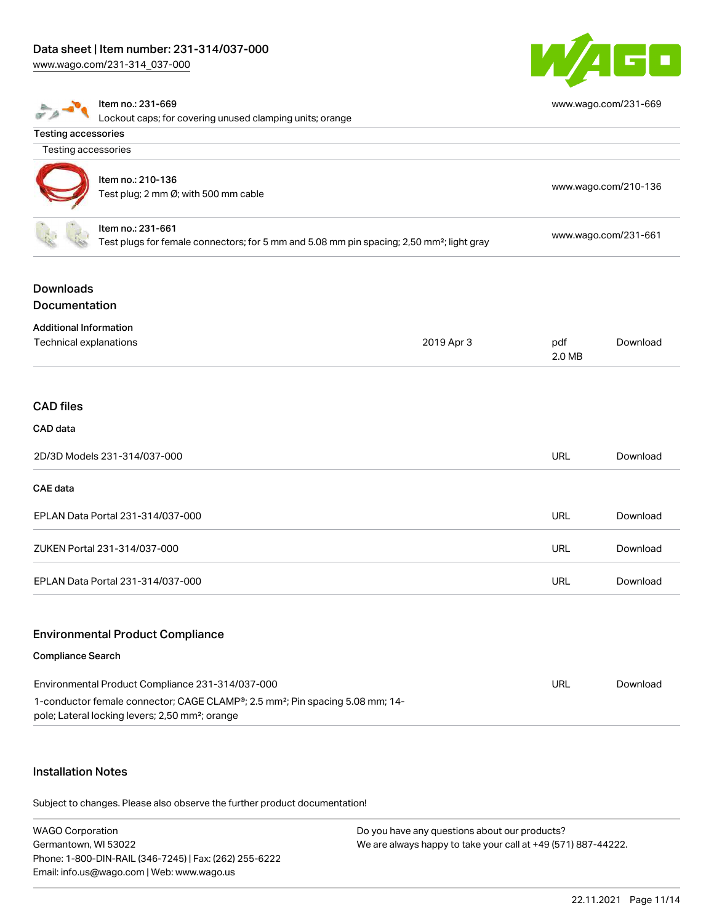[www.wago.com/231-314\\_037-000](http://www.wago.com/231-314_037-000)



|                                                         | Item no.: 231-669<br>Lockout caps; for covering unused clamping units; orange                                                                                                                                |            |               | www.wago.com/231-669 |
|---------------------------------------------------------|--------------------------------------------------------------------------------------------------------------------------------------------------------------------------------------------------------------|------------|---------------|----------------------|
| <b>Testing accessories</b>                              |                                                                                                                                                                                                              |            |               |                      |
| Testing accessories                                     |                                                                                                                                                                                                              |            |               |                      |
|                                                         | Item no.: 210-136<br>Test plug; 2 mm Ø; with 500 mm cable                                                                                                                                                    |            |               | www.wago.com/210-136 |
|                                                         | Item no.: 231-661<br>Test plugs for female connectors; for 5 mm and 5.08 mm pin spacing; 2,50 mm <sup>2</sup> ; light gray                                                                                   |            |               | www.wago.com/231-661 |
| <b>Downloads</b><br>Documentation                       |                                                                                                                                                                                                              |            |               |                      |
| <b>Additional Information</b><br>Technical explanations |                                                                                                                                                                                                              | 2019 Apr 3 | pdf<br>2.0 MB | Download             |
| <b>CAD</b> files<br>CAD data                            |                                                                                                                                                                                                              |            |               |                      |
|                                                         | 2D/3D Models 231-314/037-000                                                                                                                                                                                 |            | <b>URL</b>    | Download             |
| <b>CAE</b> data                                         |                                                                                                                                                                                                              |            |               |                      |
|                                                         | EPLAN Data Portal 231-314/037-000                                                                                                                                                                            |            | <b>URL</b>    | Download             |
|                                                         | ZUKEN Portal 231-314/037-000                                                                                                                                                                                 |            | <b>URL</b>    | Download             |
|                                                         | EPLAN Data Portal 231-314/037-000                                                                                                                                                                            |            | <b>URL</b>    | Download             |
|                                                         | <b>Environmental Product Compliance</b>                                                                                                                                                                      |            |               |                      |
| <b>Compliance Search</b>                                |                                                                                                                                                                                                              |            |               |                      |
|                                                         | Environmental Product Compliance 231-314/037-000<br>1-conductor female connector; CAGE CLAMP®; 2.5 mm <sup>2</sup> ; Pin spacing 5.08 mm; 14-<br>pole; Lateral locking levers; 2,50 mm <sup>2</sup> ; orange |            | <b>URL</b>    | Download             |

# Installation Notes

Subject to changes. Please also observe the further product documentation!

| <b>WAGO Corporation</b>                                | Do you have any questions about our products?                 |
|--------------------------------------------------------|---------------------------------------------------------------|
| Germantown, WI 53022                                   | We are always happy to take your call at +49 (571) 887-44222. |
| Phone: 1-800-DIN-RAIL (346-7245)   Fax: (262) 255-6222 |                                                               |
| Email: info.us@wago.com   Web: www.wago.us             |                                                               |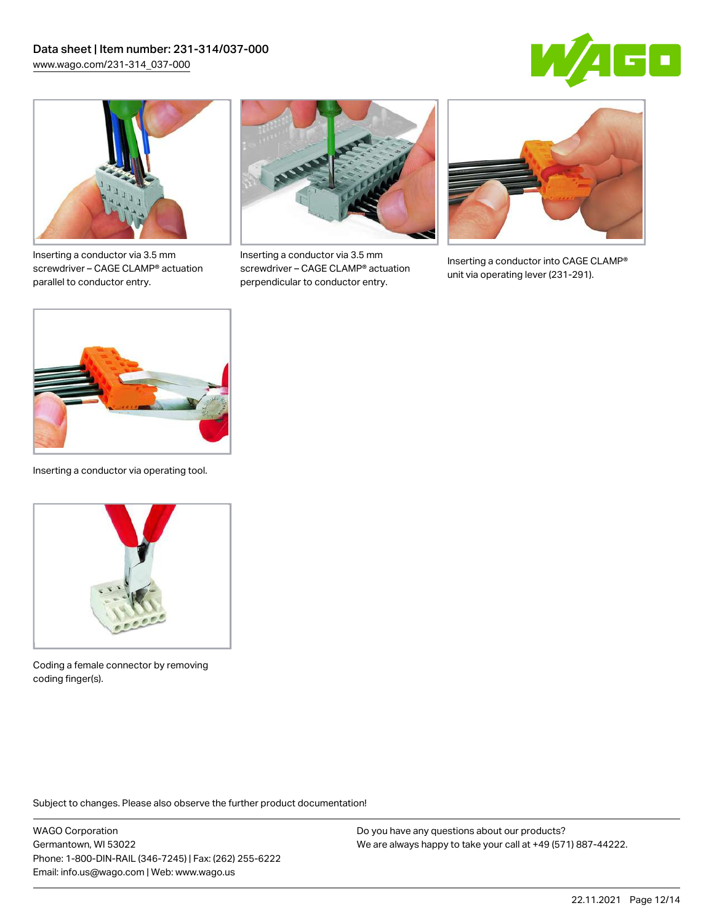



Inserting a conductor via 3.5 mm screwdriver – CAGE CLAMP® actuation parallel to conductor entry.



Inserting a conductor via 3.5 mm screwdriver – CAGE CLAMP® actuation perpendicular to conductor entry.



Inserting a conductor into CAGE CLAMP® unit via operating lever (231-291).



Inserting a conductor via operating tool.



Coding a female connector by removing coding finger(s).

Subject to changes. Please also observe the further product documentation!

WAGO Corporation Germantown, WI 53022 Phone: 1-800-DIN-RAIL (346-7245) | Fax: (262) 255-6222 Email: info.us@wago.com | Web: www.wago.us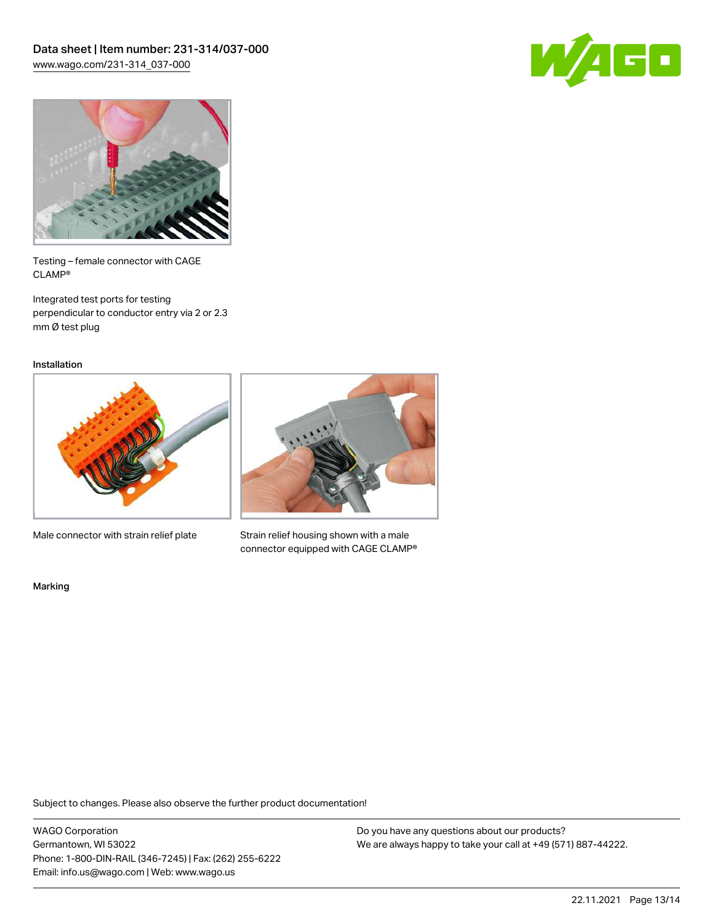



Testing – female connector with CAGE CLAMP®

Integrated test ports for testing perpendicular to conductor entry via 2 or 2.3 mm Ø test plug

Installation



Male connector with strain relief plate



Strain relief housing shown with a male connector equipped with CAGE CLAMP®

Marking

Subject to changes. Please also observe the further product documentation!

WAGO Corporation Germantown, WI 53022 Phone: 1-800-DIN-RAIL (346-7245) | Fax: (262) 255-6222 Email: info.us@wago.com | Web: www.wago.us